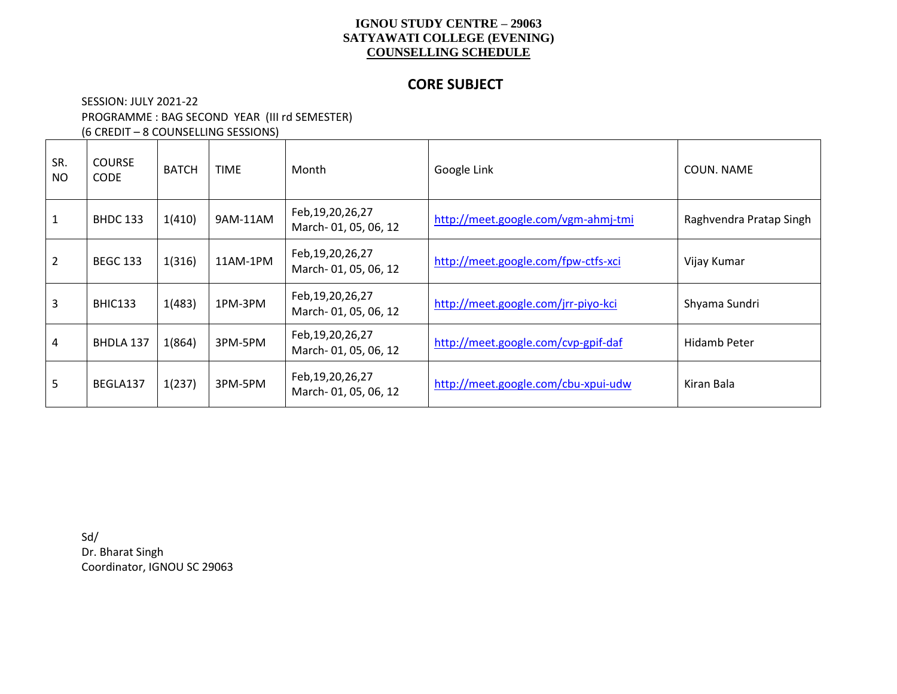### **CORE SUBJECT**

### SESSION: JULY 2021-22 PROGRAMME : BAG SECOND YEAR (III rd SEMESTER) (6 CREDIT – 8 COUNSELLING SESSIONS)

| SR.<br><b>NO</b> | <b>COURSE</b><br><b>CODE</b> | <b>BATCH</b> | <b>TIME</b> | Month                                       | Google Link                         | COUN. NAME              |
|------------------|------------------------------|--------------|-------------|---------------------------------------------|-------------------------------------|-------------------------|
|                  | <b>BHDC 133</b>              | 1(410)       | 9AM-11AM    | Feb, 19, 20, 26, 27<br>March-01, 05, 06, 12 | http://meet.google.com/vgm-ahmj-tmi | Raghvendra Pratap Singh |
| $\overline{2}$   | <b>BEGC 133</b>              | 1(316)       | 11AM-1PM    | Feb, 19, 20, 26, 27<br>March-01, 05, 06, 12 | http://meet.google.com/fpw-ctfs-xci | Vijay Kumar             |
| 3                | <b>BHIC133</b>               | 1(483)       | 1PM-3PM     | Feb, 19, 20, 26, 27<br>March-01, 05, 06, 12 | http://meet.google.com/jrr-piyo-kci | Shyama Sundri           |
| 4                | <b>BHDLA 137</b>             | 1(864)       | 3PM-5PM     | Feb, 19, 20, 26, 27<br>March-01, 05, 06, 12 | http://meet.google.com/cvp-gpif-daf | Hidamb Peter            |
| 5                | BEGLA137                     | 1(237)       | 3PM-5PM     | Feb, 19, 20, 26, 27<br>March-01, 05, 06, 12 | http://meet.google.com/cbu-xpui-udw | Kiran Bala              |

Sd/ Dr. Bharat Singh Coordinator, IGNOU SC 29063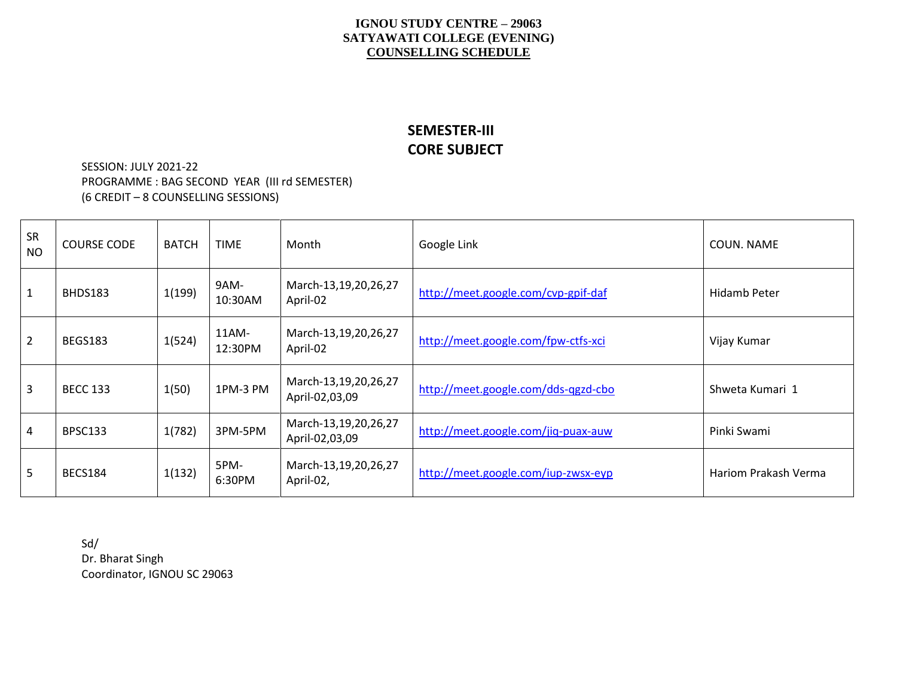## **SEMESTER-III CORE SUBJECT**

SESSION: JULY 2021-22 PROGRAMME : BAG SECOND YEAR (III rd SEMESTER) (6 CREDIT – 8 COUNSELLING SESSIONS)

| SR<br><b>NO</b> | <b>COURSE CODE</b> | <b>BATCH</b> | <b>TIME</b>         | Month                                  | Google Link                         | COUN. NAME                  |
|-----------------|--------------------|--------------|---------------------|----------------------------------------|-------------------------------------|-----------------------------|
| $\mathbf{1}$    | BHDS183            | 1(199)       | 9AM-<br>10:30AM     | March-13,19,20,26,27<br>April-02       | http://meet.google.com/cvp-gpif-daf | Hidamb Peter                |
| $\overline{2}$  | <b>BEGS183</b>     | 1(524)       | $11AM -$<br>12:30PM | March-13,19,20,26,27<br>April-02       | http://meet.google.com/fpw-ctfs-xci | Vijay Kumar                 |
| 3               | <b>BECC 133</b>    | 1(50)        | 1PM-3 PM            | March-13,19,20,26,27<br>April-02,03,09 | http://meet.google.com/dds-qgzd-cbo | Shweta Kumari 1             |
| 4               | BPSC133            | 1(782)       | 3PM-5PM             | March-13,19,20,26,27<br>April-02,03,09 | http://meet.google.com/jiq-puax-auw | Pinki Swami                 |
| 5               | <b>BECS184</b>     | 1(132)       | 5PM-<br>6:30PM      | March-13,19,20,26,27<br>April-02,      | http://meet.google.com/iup-zwsx-eyp | <b>Hariom Prakash Verma</b> |

Sd/ Dr. Bharat Singh Coordinator, IGNOU SC 29063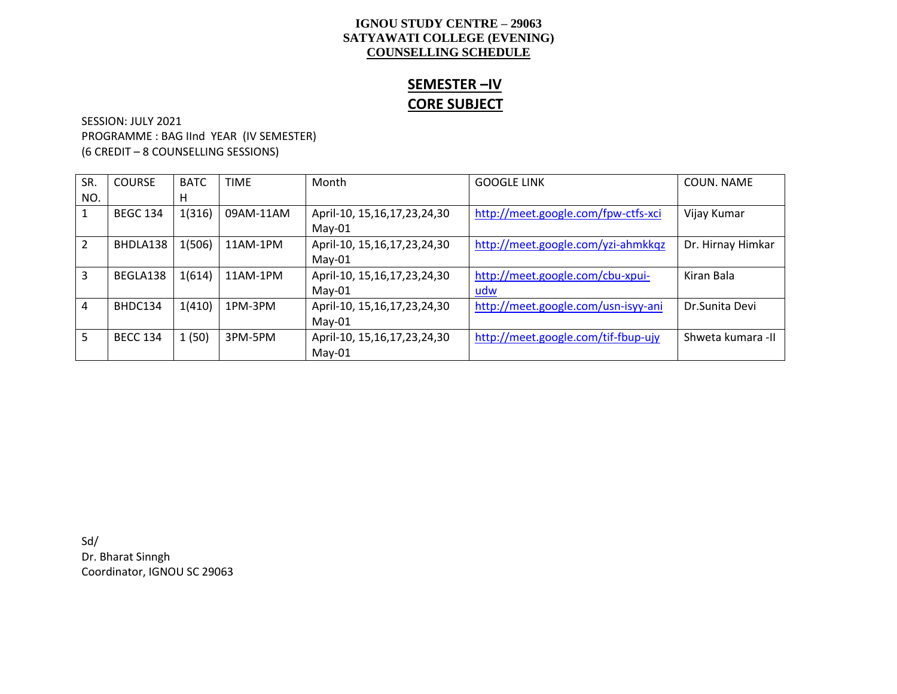# **SEMESTER –IV CORE SUBJECT**

SESSION: JULY 2021 PROGRAMME : BAG IInd YEAR (IV SEMESTER) (6 CREDIT – 8 COUNSELLING SESSIONS)

| SR. | <b>COURSE</b>   | <b>BATC</b> | <b>TIME</b> | Month                            | <b>GOOGLE LINK</b>                  | COUN, NAME         |
|-----|-----------------|-------------|-------------|----------------------------------|-------------------------------------|--------------------|
| NO. |                 | н           |             |                                  |                                     |                    |
| 1   | <b>BEGC 134</b> | 1(316)      | 09AM-11AM   | April-10, 15, 16, 17, 23, 24, 30 | http://meet.google.com/fpw-ctfs-xci | Vijay Kumar        |
|     |                 |             |             | $May-01$                         |                                     |                    |
| 2   | BHDLA138        | 1(506)      | 11AM-1PM    | April-10, 15, 16, 17, 23, 24, 30 | http://meet.google.com/yzi-ahmkkqz  | Dr. Hirnay Himkar  |
|     |                 |             |             | $May-01$                         |                                     |                    |
| 3   | BEGLA138        | 1(614)      | 11AM-1PM    | April-10, 15, 16, 17, 23, 24, 30 | http://meet.google.com/cbu-xpui-    | Kiran Bala         |
|     |                 |             |             | $May-01$                         | udw                                 |                    |
| 4   | BHDC134         | 1(410)      | 1PM-3PM     | April-10, 15, 16, 17, 23, 24, 30 | http://meet.google.com/usn-isyy-ani | Dr.Sunita Devi     |
|     |                 |             |             | $May-01$                         |                                     |                    |
| 5   | <b>BECC 134</b> | 1(50)       | 3PM-5PM     | April-10, 15, 16, 17, 23, 24, 30 | http://meet.google.com/tif-fbup-ujy | Shweta kumara - II |
|     |                 |             |             | May-01                           |                                     |                    |

Sd/ Dr. Bharat Sinngh Coordinator, IGNOU SC 29063